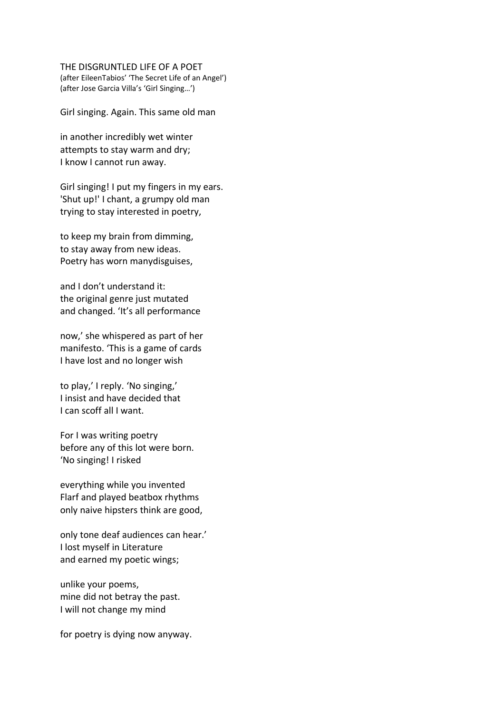## THE DISGRUNTLED LIFE OF A POET

(after EileenTabios' 'The Secret Life of an Angel') (after Jose Garcia Villa's 'Girl Singing…')

Girl singing. Again. This same old man

in another incredibly wet winter attempts to stay warm and dry; I know I cannot run away.

Girl singing! I put my fingers in my ears. 'Shut up!' I chant, a grumpy old man trying to stay interested in poetry,

to keep my brain from dimming, to stay away from new ideas. Poetry has worn manydisguises,

and I don't understand it: the original genre just mutated and changed. 'It's all performance

now,' she whispered as part of her manifesto. 'This is a game of cards I have lost and no longer wish

to play,' I reply. 'No singing,' I insist and have decided that I can scoff all I want.

For I was writing poetry before any of this lot were born. 'No singing! I risked

everything while you invented Flarf and played beatbox rhythms only naive hipsters think are good,

only tone deaf audiences can hear.' I lost myself in Literature and earned my poetic wings;

unlike your poems, mine did not betray the past. I will not change my mind

for poetry is dying now anyway.